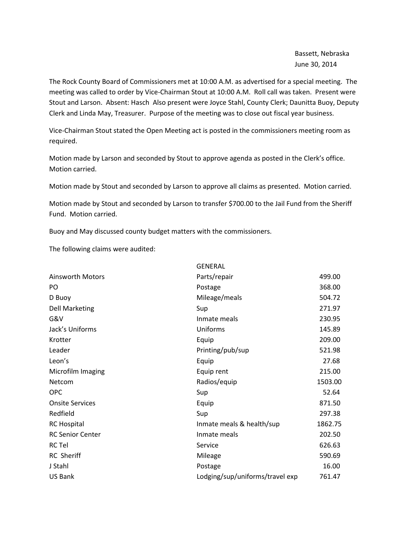Bassett, Nebraska June 30, 2014

The Rock County Board of Commissioners met at 10:00 A.M. as advertised for a special meeting. The meeting was called to order by Vice-Chairman Stout at 10:00 A.M. Roll call was taken. Present were Stout and Larson. Absent: Hasch Also present were Joyce Stahl, County Clerk; Daunitta Buoy, Deputy Clerk and Linda May, Treasurer. Purpose of the meeting was to close out fiscal year business.

Vice-Chairman Stout stated the Open Meeting act is posted in the commissioners meeting room as required.

Motion made by Larson and seconded by Stout to approve agenda as posted in the Clerk's office. Motion carried.

Motion made by Stout and seconded by Larson to approve all claims as presented. Motion carried.

Motion made by Stout and seconded by Larson to transfer \$700.00 to the Jail Fund from the Sheriff Fund. Motion carried.

Buoy and May discussed county budget matters with the commissioners.

The following claims were audited:

|                         | <b>GENERAL</b>                  |         |
|-------------------------|---------------------------------|---------|
| <b>Ainsworth Motors</b> | Parts/repair                    | 499.00  |
| PO.                     | Postage                         | 368.00  |
| D Buoy                  | Mileage/meals                   | 504.72  |
| <b>Dell Marketing</b>   | Sup                             | 271.97  |
| G&V                     | Inmate meals                    | 230.95  |
| Jack's Uniforms         | Uniforms                        | 145.89  |
| Krotter                 | Equip                           | 209.00  |
| Leader                  | Printing/pub/sup                | 521.98  |
| Leon's                  | Equip                           | 27.68   |
| Microfilm Imaging       | Equip rent                      | 215.00  |
| Netcom                  | Radios/equip                    | 1503.00 |
| <b>OPC</b>              | Sup                             | 52.64   |
| <b>Onsite Services</b>  | Equip                           | 871.50  |
| Redfield                | Sup                             | 297.38  |
| <b>RC Hospital</b>      | Inmate meals & health/sup       | 1862.75 |
| <b>RC Senior Center</b> | Inmate meals                    | 202.50  |
| <b>RC Tel</b>           | Service                         | 626.63  |
| <b>RC</b> Sheriff       | Mileage                         | 590.69  |
| J Stahl                 | Postage                         | 16.00   |
| <b>US Bank</b>          | Lodging/sup/uniforms/travel exp | 761.47  |